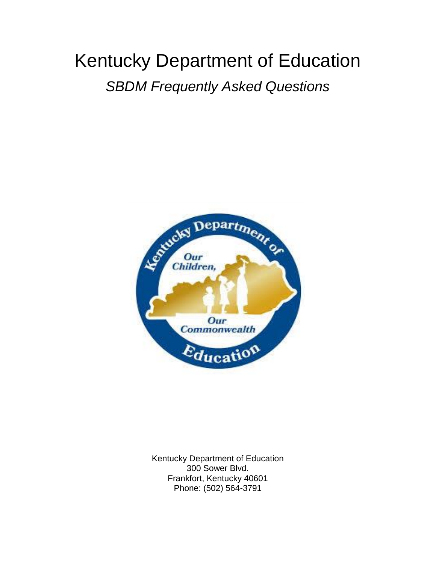# Kentucky Department of Education *SBDM Frequently Asked Questions*



Kentucky Department of Education 300 Sower Blvd. Frankfort, Kentucky 40601 Phone: (502) 564-3791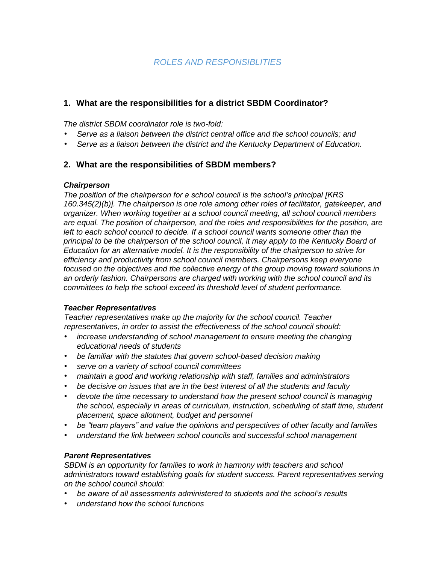# **1. What are the responsibilities for a district SBDM Coordinator?**

*The district SBDM coordinator role is two-fold:* 

- *Serve as a liaison between the district central office and the school councils; and*
- *Serve as a liaison between the district and the Kentucky Department of Education.*

## **2. What are the responsibilities of SBDM members?**

#### *Chairperson*

*The position of the chairperson for a school council is the school's principal [KRS 160.345(2)(b)]. The chairperson is one role among other roles of facilitator, gatekeeper, and organizer. When working together at a school council meeting, all school council members are equal. The position of chairperson, and the roles and responsibilities for the position, are*  left to each school council to decide. If a school council wants someone other than the *principal to be the chairperson of the school council, it may apply to the Kentucky Board of Education for an alternative model. It is the responsibility of the chairperson to strive for efficiency and productivity from school council members. Chairpersons keep everyone*  focused on the objectives and the collective energy of the group moving toward solutions in *an orderly fashion. Chairpersons are charged with working with the school council and its committees to help the school exceed its threshold level of student performance.* 

#### *Teacher Representatives*

*Teacher representatives make up the majority for the school council. Teacher representatives, in order to assist the effectiveness of the school council should:* 

- *increase understanding of school management to ensure meeting the changing educational needs of students*
- *be familiar with the statutes that govern school-based decision making*
- *serve on a variety of school council committees*
- *maintain a good and working relationship with staff, families and administrators*
- *be decisive on issues that are in the best interest of all the students and faculty*
- *devote the time necessary to understand how the present school council is managing the school, especially in areas of curriculum, instruction, scheduling of staff time, student placement, space allotment, budget and personnel*
- *be "team players" and value the opinions and perspectives of other faculty and families*
- *understand the link between school councils and successful school management*

#### *Parent Representatives*

*SBDM is an opportunity for families to work in harmony with teachers and school administrators toward establishing goals for student success. Parent representatives serving on the school council should:* 

- *be aware of all assessments administered to students and the school's results*
- *understand how the school functions*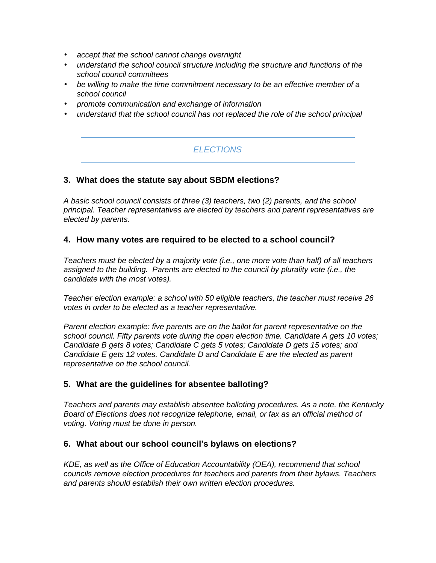- *accept that the school cannot change overnight*
- *understand the school council structure including the structure and functions of the school council committees*
- *be willing to make the time commitment necessary to be an effective member of a school council*
- *promote communication and exchange of information*
- *understand that the school council has not replaced the role of the school principal*

# *ELECTIONS*

#### **3. What does the statute say about SBDM elections?**

*A basic school council consists of three (3) teachers, two (2) parents, and the school principal. Teacher representatives are elected by teachers and parent representatives are elected by parents.* 

#### **4. How many votes are required to be elected to a school council?**

*Teachers must be elected by a majority vote (i.e., one more vote than half) of all teachers assigned to the building. Parents are elected to the council by plurality vote (i.e., the candidate with the most votes).* 

*Teacher election example: a school with 50 eligible teachers, the teacher must receive 26 votes in order to be elected as a teacher representative.* 

*Parent election example: five parents are on the ballot for parent representative on the school council. Fifty parents vote during the open election time. Candidate A gets 10 votes; Candidate B gets 8 votes; Candidate C gets 5 votes; Candidate D gets 15 votes; and Candidate E gets 12 votes. Candidate D and Candidate E are the elected as parent representative on the school council.* 

## **5. What are the guidelines for absentee balloting?**

*Teachers and parents may establish absentee balloting procedures. As a note, the Kentucky Board of Elections does not recognize telephone, email, or fax as an official method of voting. Voting must be done in person.* 

#### **6. What about our school council's bylaws on elections?**

*KDE, as well as the Office of Education Accountability (OEA), recommend that school councils remove election procedures for teachers and parents from their bylaws. Teachers and parents should establish their own written election procedures.*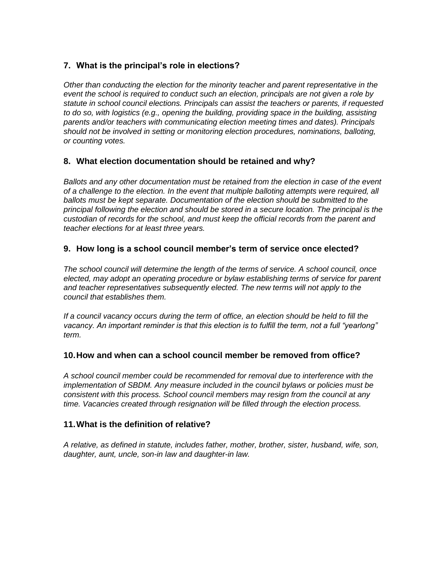# **7. What is the principal's role in elections?**

*Other than conducting the election for the minority teacher and parent representative in the event the school is required to conduct such an election, principals are not given a role by statute in school council elections. Principals can assist the teachers or parents, if requested*  to do so, with logistics (e.g., opening the building, providing space in the building, assisting *parents and/or teachers with communicating election meeting times and dates). Principals should not be involved in setting or monitoring election procedures, nominations, balloting, or counting votes.* 

# **8. What election documentation should be retained and why?**

*Ballots and any other documentation must be retained from the election in case of the event of a challenge to the election. In the event that multiple balloting attempts were required, all ballots must be kept separate. Documentation of the election should be submitted to the principal following the election and should be stored in a secure location. The principal is the custodian of records for the school, and must keep the official records from the parent and teacher elections for at least three years.* 

# **9. How long is a school council member's term of service once elected?**

*The school council will determine the length of the terms of service. A school council, once elected, may adopt an operating procedure or bylaw establishing terms of service for parent and teacher representatives subsequently elected. The new terms will not apply to the council that establishes them.* 

*If a council vacancy occurs during the term of office, an election should be held to fill the vacancy. An important reminder is that this election is to fulfill the term, not a full "yearlong" term.* 

## **10.How and when can a school council member be removed from office?**

*A school council member could be recommended for removal due to interference with the implementation of SBDM. Any measure included in the council bylaws or policies must be consistent with this process. School council members may resign from the council at any time. Vacancies created through resignation will be filled through the election process.*

## **11.What is the definition of relative?**

*A relative, as defined in statute, includes father, mother, brother, sister, husband, wife, son, daughter, aunt, uncle, son-in law and daughter-in law.*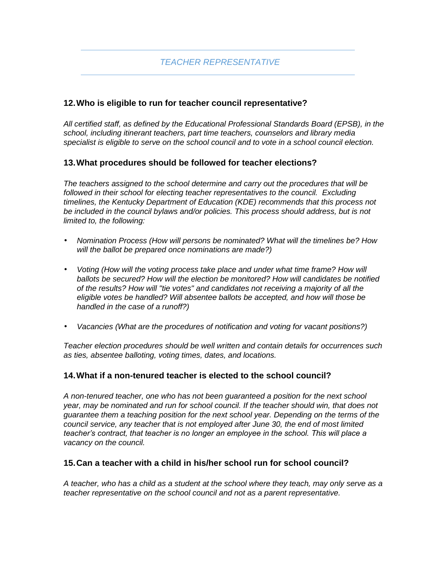# **12.Who is eligible to run for teacher council representative?**

*All certified staff, as defined by the Educational Professional Standards Board (EPSB), in the school, including itinerant teachers, part time teachers, counselors and library media specialist is eligible to serve on the school council and to vote in a school council election.*

# **13.What procedures should be followed for teacher elections?**

*The teachers assigned to the school determine and carry out the procedures that will be followed in their school for electing teacher representatives to the council. Excluding timelines, the Kentucky Department of Education (KDE) recommends that this process not*  be included in the council bylaws and/or policies. This process should address, but is not *limited to, the following:*

- *Nomination Process (How will persons be nominated? What will the timelines be? How will the ballot be prepared once nominations are made?)*
- *Voting (How will the voting process take place and under what time frame? How will ballots be secured? How will the election be monitored? How will candidates be notified of the results? How will "tie votes" and candidates not receiving a majority of all the eligible votes be handled? Will absentee ballots be accepted, and how will those be handled in the case of a runoff?)*
- *Vacancies (What are the procedures of notification and voting for vacant positions?)*

*Teacher election procedures should be well written and contain details for occurrences such as ties, absentee balloting, voting times, dates, and locations.* 

## **14.What if a non-tenured teacher is elected to the school council?**

*A non-tenured teacher, one who has not been guaranteed a position for the next school year, may be nominated and run for school council. If the teacher should win, that does not guarantee them a teaching position for the next school year. Depending on the terms of the council service, any teacher that is not employed after June 30, the end of most limited teacher's contract, that teacher is no longer an employee in the school. This will place a vacancy on the council.* 

## **15.Can a teacher with a child in his/her school run for school council?**

*A teacher, who has a child as a student at the school where they teach, may only serve as a teacher representative on the school council and not as a parent representative.*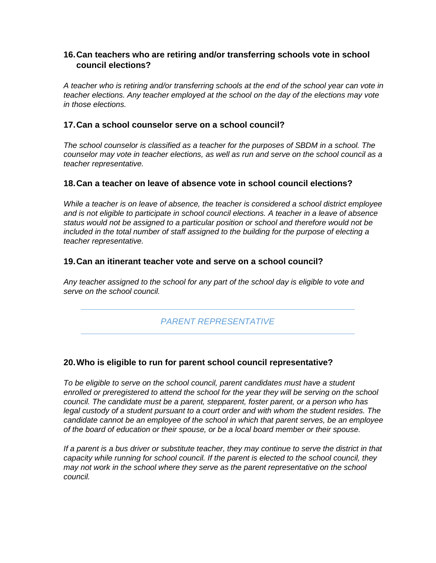# **16.Can teachers who are retiring and/or transferring schools vote in school council elections?**

*A teacher who is retiring and/or transferring schools at the end of the school year can vote in teacher elections. Any teacher employed at the school on the day of the elections may vote in those elections.* 

## **17.Can a school counselor serve on a school council?**

*The school counselor is classified as a teacher for the purposes of SBDM in a school. The counselor may vote in teacher elections, as well as run and serve on the school council as a teacher representative.* 

# **18.Can a teacher on leave of absence vote in school council elections?**

*While a teacher is on leave of absence, the teacher is considered a school district employee and is not eligible to participate in school council elections. A teacher in a leave of absence status would not be assigned to a particular position or school and therefore would not be included in the total number of staff assigned to the building for the purpose of electing a teacher representative.* 

## **19.Can an itinerant teacher vote and serve on a school council?**

*Any teacher assigned to the school for any part of the school day is eligible to vote and serve on the school council.* 

# *PARENT REPRESENTATIVE*

## **20.Who is eligible to run for parent school council representative?**

*To be eligible to serve on the school council, parent candidates must have a student enrolled or preregistered to attend the school for the year they will be serving on the school council. The candidate must be a parent, stepparent, foster parent, or a person who has*  legal custody of a student pursuant to a court order and with whom the student resides. The *candidate cannot be an employee of the school in which that parent serves, be an employee of the board of education or their spouse, or be a local board member or their spouse.* 

*If a parent is a bus driver or substitute teacher, they may continue to serve the district in that capacity while running for school council. If the parent is elected to the school council, they may not work in the school where they serve as the parent representative on the school council.*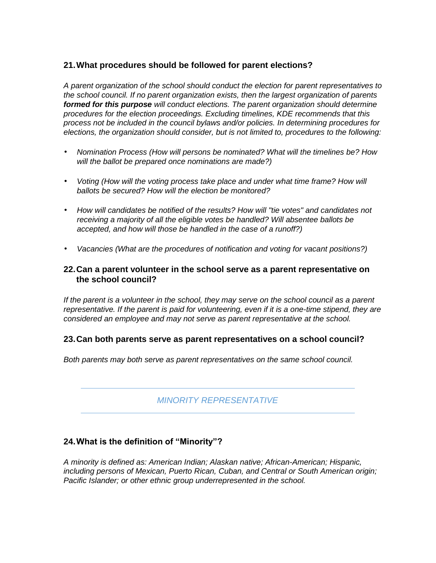# **21.What procedures should be followed for parent elections?**

*A parent organization of the school should conduct the election for parent representatives to the school council. If no parent organization exists, then the largest organization of parents formed for this purpose will conduct elections. The parent organization should determine procedures for the election proceedings. Excluding timelines, KDE recommends that this process not be included in the council bylaws and/or policies. In determining procedures for elections, the organization should consider, but is not limited to, procedures to the following:* 

- *Nomination Process (How will persons be nominated? What will the timelines be? How will the ballot be prepared once nominations are made?)*
- Voting (How will the voting process take place and under what time frame? How will *ballots be secured? How will the election be monitored?*
- *How will candidates be notified of the results? How will "tie votes" and candidates not receiving a majority of all the eligible votes be handled? Will absentee ballots be accepted, and how will those be handled in the case of a runoff?)*
- *Vacancies (What are the procedures of notification and voting for vacant positions?)*

## **22.Can a parent volunteer in the school serve as a parent representative on the school council?**

*If the parent is a volunteer in the school, they may serve on the school council as a parent representative. If the parent is paid for volunteering, even if it is a one-time stipend, they are considered an employee and may not serve as parent representative at the school.* 

## **23.Can both parents serve as parent representatives on a school council?**

*Both parents may both serve as parent representatives on the same school council.* 

*MINORITY REPRESENTATIVE* 

# **24.What is the definition of "Minority"?**

*A minority is defined as: American Indian; Alaskan native; African-American; Hispanic, including persons of Mexican, Puerto Rican, Cuban, and Central or South American origin; Pacific Islander; or other ethnic group underrepresented in the school.*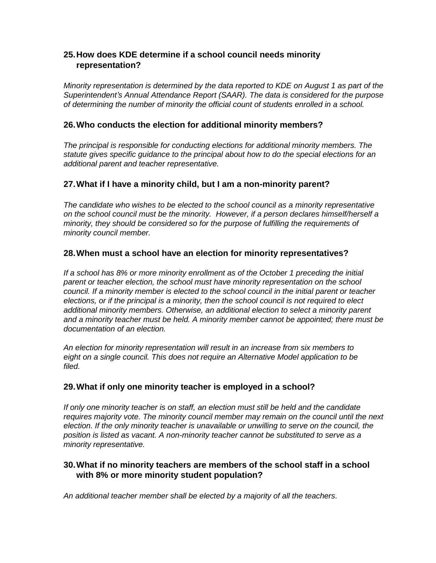# **25.How does KDE determine if a school council needs minority representation?**

*Minority representation is determined by the data reported to KDE on August 1 as part of the Superintendent's Annual Attendance Report (SAAR). The data is considered for the purpose of determining the number of minority the official count of students enrolled in a school.* 

# **26.Who conducts the election for additional minority members?**

*The principal is responsible for conducting elections for additional minority members. The statute gives specific guidance to the principal about how to do the special elections for an additional parent and teacher representative.* 

# **27.What if I have a minority child, but I am a non-minority parent?**

*The candidate who wishes to be elected to the school council as a minority representative on the school council must be the minority. However, if a person declares himself/herself a minority, they should be considered so for the purpose of fulfilling the requirements of minority council member.*

## **28.When must a school have an election for minority representatives?**

*If a school has 8% or more minority enrollment as of the October 1 preceding the initial parent or teacher election, the school must have minority representation on the school council. If a minority member is elected to the school council in the initial parent or teacher elections, or if the principal is a minority, then the school council is not required to elect additional minority members. Otherwise, an additional election to select a minority parent and a minority teacher must be held. A minority member cannot be appointed; there must be documentation of an election.* 

*An election for minority representation will result in an increase from six members to eight on a single council. This does not require an Alternative Model application to be filed.* 

## **29.What if only one minority teacher is employed in a school?**

*If only one minority teacher is on staff, an election must still be held and the candidate requires majority vote. The minority council member may remain on the council until the next election. If the only minority teacher is unavailable or unwilling to serve on the council, the position is listed as vacant. A non-minority teacher cannot be substituted to serve as a minority representative.* 

## **30.What if no minority teachers are members of the school staff in a school with 8% or more minority student population?**

*An additional teacher member shall be elected by a majority of all the teachers.*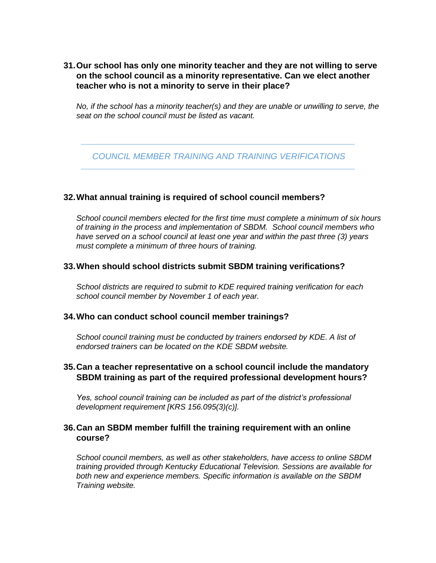# **31.Our school has only one minority teacher and they are not willing to serve on the school council as a minority representative. Can we elect another teacher who is not a minority to serve in their place?**

*No, if the school has a minority teacher(s) and they are unable or unwilling to serve, the seat on the school council must be listed as vacant.* 

# *COUNCIL MEMBER TRAINING AND TRAINING VERIFICATIONS*

## **32.What annual training is required of school council members?**

*School council members elected for the first time must complete a minimum of six hours of training in the process and implementation of SBDM. School council members who have served on a school council at least one year and within the past three (3) years must complete a minimum of three hours of training.* 

#### **33.When should school districts submit SBDM training verifications?**

*School districts are required to submit to KDE required training verification for each school council member by November 1 of each year.* 

#### **34.Who can conduct school council member trainings?**

*School council training must be conducted by trainers endorsed by KDE. A list of endorsed trainers can be located on the KDE SBDM website.*

#### **35.Can a teacher representative on a school council include the mandatory SBDM training as part of the required professional development hours?**

*Yes, school council training can be included as part of the district's professional development requirement [KRS 156.095(3)(c)].* 

## **36.Can an SBDM member fulfill the training requirement with an online course?**

*School council members, as well as other stakeholders, have access to online SBDM training provided through Kentucky Educational Television. Sessions are available for both new and experience members. Specific information is available on the SBDM Training website.*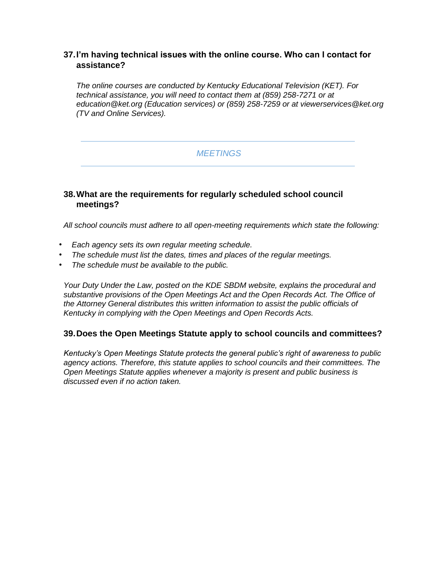# **37.I'm having technical issues with the online course. Who can I contact for assistance?**

*The online courses are conducted by Kentucky Educational Television (KET). For technical assistance, you will need to contact them at (859) 258-7271 or at education@ket.org (Education services) or (859) 258-7259 or at viewerservices@ket.org (TV and Online Services).* 

# *MEETINGS*

# **38.What are the requirements for regularly scheduled school council meetings?**

*All school councils must adhere to all open-meeting requirements which state the following:*

- *Each agency sets its own regular meeting schedule.*
- *The schedule must list the dates, times and places of the regular meetings.*
- *The schedule must be available to the public.*

*Your Duty Under the Law, posted on the KDE SBDM website, explains the procedural and substantive provisions of the Open Meetings Act and the Open Records Act. The Office of the Attorney General distributes this written information to assist the public officials of Kentucky in complying with the Open Meetings and Open Records Acts.* 

## **39.Does the Open Meetings Statute apply to school councils and committees?**

*Kentucky's Open Meetings Statute protects the general public's right of awareness to public agency actions. Therefore, this statute applies to school councils and their committees. The Open Meetings Statute applies whenever a majority is present and public business is discussed even if no action taken.*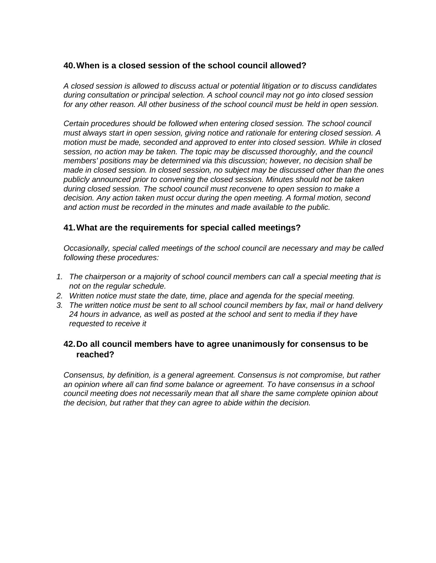## **40.When is a closed session of the school council allowed?**

*A closed session is allowed to discuss actual or potential litigation or to discuss candidates during consultation or principal selection. A school council may not go into closed session for any other reason. All other business of the school council must be held in open session.* 

*Certain procedures should be followed when entering closed session. The school council must always start in open session, giving notice and rationale for entering closed session. A motion must be made, seconded and approved to enter into closed session. While in closed*  session, no action may be taken. The topic may be discussed thoroughly, and the council *members' positions may be determined via this discussion; however, no decision shall be made in closed session. In closed session, no subject may be discussed other than the ones publicly announced prior to convening the closed session. Minutes should not be taken during closed session. The school council must reconvene to open session to make a decision. Any action taken must occur during the open meeting. A formal motion, second and action must be recorded in the minutes and made available to the public.* 

# **41.What are the requirements for special called meetings?**

*Occasionally, special called meetings of the school council are necessary and may be called following these procedures:* 

- *1. The chairperson or a majority of school council members can call a special meeting that is not on the regular schedule.*
- *2. Written notice must state the date, time, place and agenda for the special meeting.*
- *3. The written notice must be sent to all school council members by fax, mail or hand delivery 24 hours in advance, as well as posted at the school and sent to media if they have requested to receive it*

# **42.Do all council members have to agree unanimously for consensus to be reached?**

*Consensus, by definition, is a general agreement. Consensus is not compromise, but rather an opinion where all can find some balance or agreement. To have consensus in a school council meeting does not necessarily mean that all share the same complete opinion about the decision, but rather that they can agree to abide within the decision.*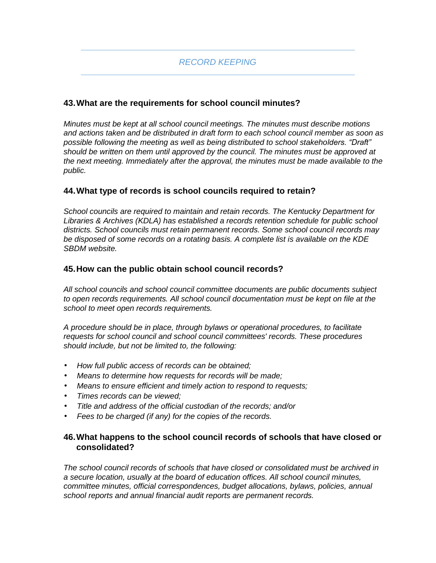# **43.What are the requirements for school council minutes?**

*Minutes must be kept at all school council meetings. The minutes must describe motions and actions taken and be distributed in draft form to each school council member as soon as possible following the meeting as well as being distributed to school stakeholders. "Draft" should be written on them until approved by the council. The minutes must be approved at the next meeting. Immediately after the approval, the minutes must be made available to the public.* 

# **44.What type of records is school councils required to retain?**

*School councils are required to maintain and retain records. The Kentucky Department for Libraries & Archives (KDLA) has established a records retention schedule for public school districts. School councils must retain permanent records. Some school council records may be disposed of some records on a rotating basis. A complete list is available on the KDE SBDM website.* 

## **45.How can the public obtain school council records?**

*All school councils and school council committee documents are public documents subject*  to open records requirements. All school council documentation must be kept on file at the *school to meet open records requirements.* 

*A procedure should be in place, through bylaws or operational procedures, to facilitate requests for school council and school council committees' records. These procedures should include, but not be limited to, the following:* 

- *How full public access of records can be obtained;*
- *Means to determine how requests for records will be made;*
- *Means to ensure efficient and timely action to respond to requests;*
- *Times records can be viewed;*
- *Title and address of the official custodian of the records; and/or*
- *Fees to be charged (if any) for the copies of the records.*

# **46.What happens to the school council records of schools that have closed or consolidated?**

*The school council records of schools that have closed or consolidated must be archived in a secure location, usually at the board of education offices. All school council minutes, committee minutes, official correspondences, budget allocations, bylaws, policies, annual school reports and annual financial audit reports are permanent records.*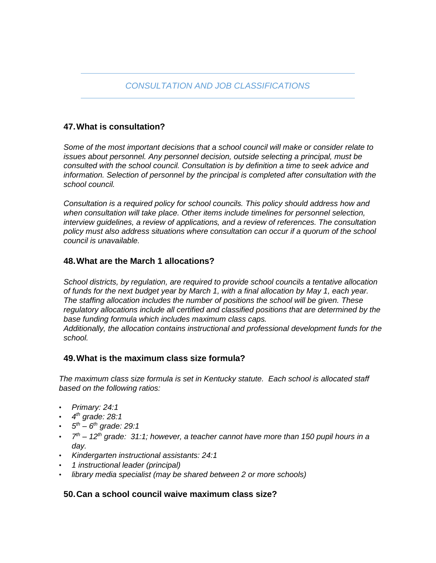# **47.What is consultation?**

*Some of the most important decisions that a school council will make or consider relate to issues about personnel. Any personnel decision, outside selecting a principal, must be consulted with the school council. Consultation is by definition a time to seek advice and information. Selection of personnel by the principal is completed after consultation with the school council.* 

*Consultation is a required policy for school councils. This policy should address how and when consultation will take place. Other items include timelines for personnel selection, interview guidelines, a review of applications, and a review of references. The consultation policy must also address situations where consultation can occur if a quorum of the school council is unavailable.* 

## **48.What are the March 1 allocations?**

*School districts, by regulation, are required to provide school councils a tentative allocation of funds for the next budget year by March 1, with a final allocation by May 1, each year. The staffing allocation includes the number of positions the school will be given. These regulatory allocations include all certified and classified positions that are determined by the base funding formula which includes maximum class caps. Additionally, the allocation contains instructional and professional development funds for the school.* 

## **49.What is the maximum class size formula?**

*The maximum class size formula is set in Kentucky statute. Each school is allocated staff based on the following ratios:* 

- *Primary: 24:1*
- *4 th grade: 28:1*
- *5 th – 6 th grade: 29:1*
- *7 th – 12th grade: 31:1; however, a teacher cannot have more than 150 pupil hours in a day.*
- *Kindergarten instructional assistants: 24:1*
- *1 instructional leader (principal)*
- *library media specialist (may be shared between 2 or more schools)*

## **50.Can a school council waive maximum class size?**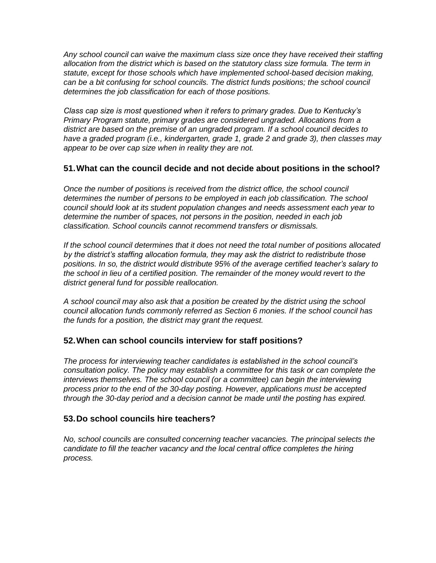*Any school council can waive the maximum class size once they have received their staffing allocation from the district which is based on the statutory class size formula. The term in statute, except for those schools which have implemented school-based decision making, can be a bit confusing for school councils. The district funds positions; the school council determines the job classification for each of those positions.* 

*Class cap size is most questioned when it refers to primary grades. Due to Kentucky's Primary Program statute, primary grades are considered ungraded. Allocations from a district are based on the premise of an ungraded program. If a school council decides to have a graded program (i.e., kindergarten, grade 1, grade 2 and grade 3), then classes may appear to be over cap size when in reality they are not.* 

# **51.What can the council decide and not decide about positions in the school?**

*Once the number of positions is received from the district office, the school council*  determines the number of persons to be employed in each job classification. The school *council should look at its student population changes and needs assessment each year to determine the number of spaces, not persons in the position, needed in each job classification. School councils cannot recommend transfers or dismissals.*

*If the school council determines that it does not need the total number of positions allocated by the district's staffing allocation formula, they may ask the district to redistribute those positions. In so, the district would distribute 95% of the average certified teacher's salary to the school in lieu of a certified position. The remainder of the money would revert to the district general fund for possible reallocation.* 

*A school council may also ask that a position be created by the district using the school council allocation funds commonly referred as Section 6 monies. If the school council has the funds for a position, the district may grant the request.* 

## **52.When can school councils interview for staff positions?**

*The process for interviewing teacher candidates is established in the school council's consultation policy. The policy may establish a committee for this task or can complete the interviews themselves. The school council (or a committee) can begin the interviewing process prior to the end of the 30-day posting. However, applications must be accepted through the 30-day period and a decision cannot be made until the posting has expired.* 

## **53.Do school councils hire teachers?**

*No, school councils are consulted concerning teacher vacancies. The principal selects the candidate to fill the teacher vacancy and the local central office completes the hiring process.*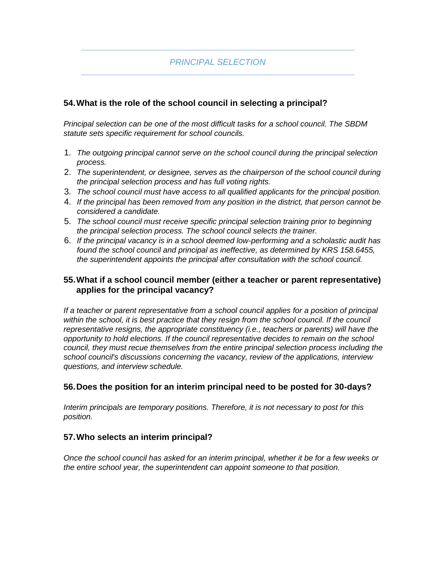# **54.What is the role of the school council in selecting a principal?**

*Principal selection can be one of the most difficult tasks for a school council. The SBDM statute sets specific requirement for school councils.* 

- 1. *The outgoing principal cannot serve on the school council during the principal selection process.*
- 2. *The superintendent, or designee, serves as the chairperson of the school council during the principal selection process and has full voting rights.*
- 3. *The school council must have access to all qualified applicants for the principal position.*
- 4. *If the principal has been removed from any position in the district, that person cannot be considered a candidate.*
- 5. *The school council must receive specific principal selection training prior to beginning the principal selection process. The school council selects the trainer.*
- 6. *If the principal vacancy is in a school deemed low-performing and a scholastic audit has found the school council and principal as ineffective, as determined by KRS 158.6455, the superintendent appoints the principal after consultation with the school council.*

## **55.What if a school council member (either a teacher or parent representative) applies for the principal vacancy?**

*If a teacher or parent representative from a school council applies for a position of principal*  within the school, it is best practice that they resign from the school council. If the council *representative resigns, the appropriate constituency (i.e., teachers or parents) will have the opportunity to hold elections. If the council representative decides to remain on the school council, they must recue themselves from the entire principal selection process including the school council's discussions concerning the vacancy, review of the applications, interview questions, and interview schedule.* 

## **56.Does the position for an interim principal need to be posted for 30-days?**

*Interim principals are temporary positions. Therefore, it is not necessary to post for this position.* 

## **57.Who selects an interim principal?**

*Once the school council has asked for an interim principal, whether it be for a few weeks or the entire school year, the superintendent can appoint someone to that position.*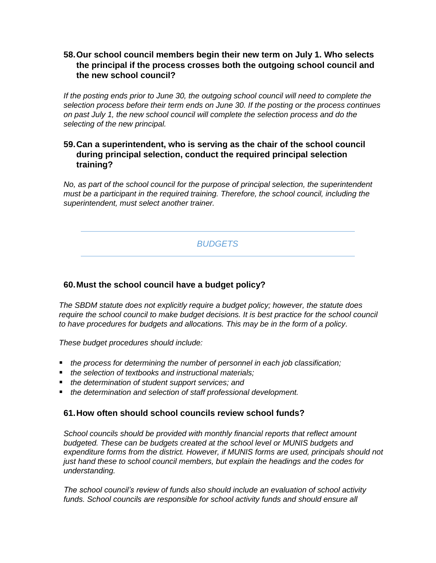# **58.Our school council members begin their new term on July 1. Who selects the principal if the process crosses both the outgoing school council and the new school council?**

*If the posting ends prior to June 30, the outgoing school council will need to complete the selection process before their term ends on June 30. If the posting or the process continues on past July 1, the new school council will complete the selection process and do the selecting of the new principal.* 

## **59.Can a superintendent, who is serving as the chair of the school council during principal selection, conduct the required principal selection training?**

*No, as part of the school council for the purpose of principal selection, the superintendent must be a participant in the required training. Therefore, the school council, including the superintendent, must select another trainer.* 

# *BUDGETS*

# **60.Must the school council have a budget policy?**

*The SBDM statute does not explicitly require a budget policy; however, the statute does*  require the school council to make budget decisions. It is best practice for the school council *to have procedures for budgets and allocations. This may be in the form of a policy.* 

*These budget procedures should include:* 

- *the process for determining the number of personnel in each job classification;*
- *the selection of textbooks and instructional materials;*
- *the determination of student support services; and*
- *the determination and selection of staff professional development.*

#### **61.How often should school councils review school funds?**

*School councils should be provided with monthly financial reports that reflect amount*  budgeted. These can be budgets created at the school level or MUNIS budgets and *expenditure forms from the district. However, if MUNIS forms are used, principals should not just hand these to school council members, but explain the headings and the codes for understanding.* 

*The school council's review of funds also should include an evaluation of school activity*  funds. School councils are responsible for school activity funds and should ensure all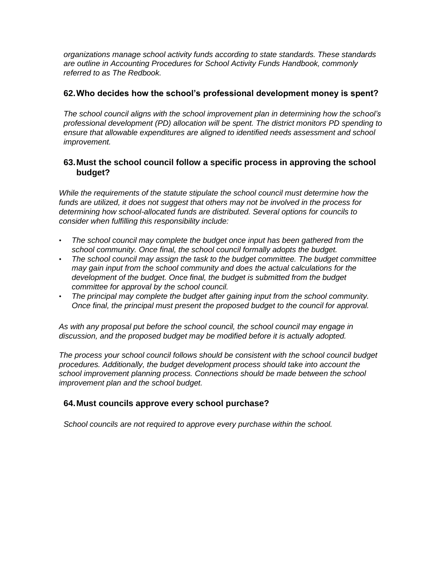*organizations manage school activity funds according to state standards. These standards are outline in Accounting Procedures for School Activity Funds Handbook, commonly referred to as The Redbook.* 

## **62.Who decides how the school's professional development money is spent?**

*The school council aligns with the school improvement plan in determining how the school's professional development (PD) allocation will be spent. The district monitors PD spending to ensure that allowable expenditures are aligned to identified needs assessment and school improvement.* 

## **63.Must the school council follow a specific process in approving the school budget?**

*While the requirements of the statute stipulate the school council must determine how the funds are utilized, it does not suggest that others may not be involved in the process for determining how school-allocated funds are distributed. Several options for councils to consider when fulfilling this responsibility include:* 

- *The school council may complete the budget once input has been gathered from the school community. Once final, the school council formally adopts the budget.*
- *The school council may assign the task to the budget committee. The budget committee may gain input from the school community and does the actual calculations for the development of the budget. Once final, the budget is submitted from the budget committee for approval by the school council.*
- *The principal may complete the budget after gaining input from the school community. Once final, the principal must present the proposed budget to the council for approval.*

*As with any proposal put before the school council, the school council may engage in discussion, and the proposed budget may be modified before it is actually adopted.* 

*The process your school council follows should be consistent with the school council budget procedures. Additionally, the budget development process should take into account the school improvement planning process. Connections should be made between the school improvement plan and the school budget.* 

#### **64.Must councils approve every school purchase?**

*School councils are not required to approve every purchase within the school.*